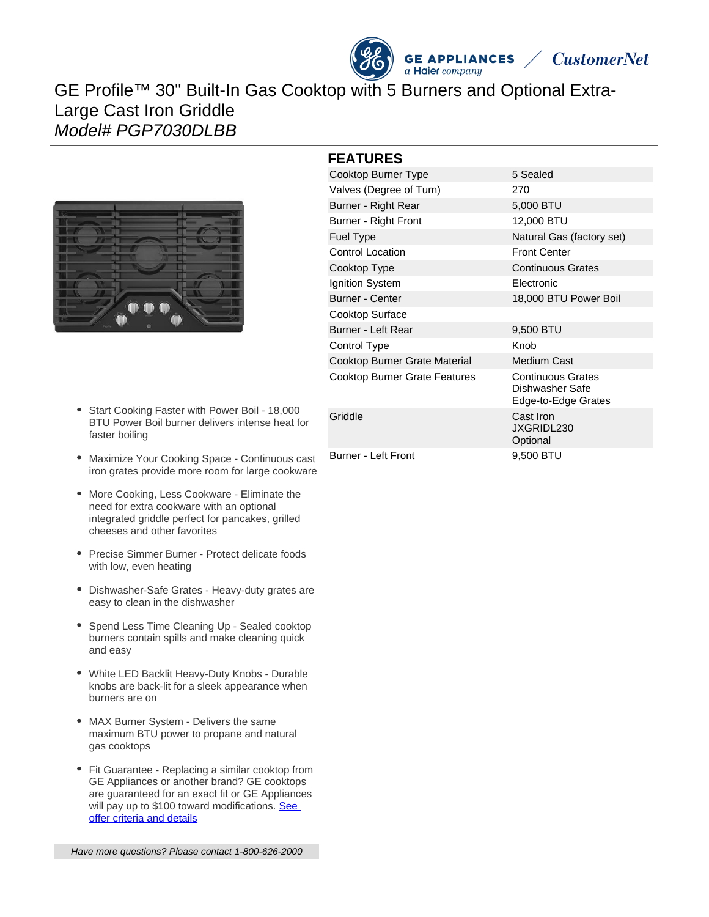

# GE Profile™ 30" Built-In Gas Cooktop with 5 Burners and Optional Extra-Large Cast Iron Griddle Model# PGP7030DLBB



- Start Cooking Faster with Power Boil 18,000 BTU Power Boil burner delivers intense heat for faster boiling
- Maximize Your Cooking Space Continuous cast iron grates provide more room for large cookware
- More Cooking, Less Cookware Eliminate the need for extra cookware with an optional integrated griddle perfect for pancakes, grilled cheeses and other favorites
- Precise Simmer Burner Protect delicate foods with low, even heating
- Dishwasher-Safe Grates Heavy-duty grates are easy to clean in the dishwasher
- Spend Less Time Cleaning Up Sealed cooktop burners contain spills and make cleaning quick and easy
- White LED Backlit Heavy-Duty Knobs Durable knobs are back-lit for a sleek appearance when burners are on
- MAX Burner System Delivers the same maximum BTU power to propane and natural gas cooktops
- Fit Guarantee Replacing a similar cooktop from GE Appliances or another brand? GE cooktops are guaranteed for an exact fit or GE Appliances will pay up to \$100 toward modifications. See [offer criteria and details](http://www.geappliances.com/ge/cooktops/built_in_cooktop_rebate.pdf)

Have more questions? Please contact 1-800-626-2000

### **FEATURES**

| -------                              |                                                                    |
|--------------------------------------|--------------------------------------------------------------------|
| Cooktop Burner Type                  | 5 Sealed                                                           |
| Valves (Degree of Turn)              | 270                                                                |
| Burner - Right Rear                  | 5,000 BTU                                                          |
| Burner - Right Front                 | 12,000 BTU                                                         |
| <b>Fuel Type</b>                     | Natural Gas (factory set)                                          |
| <b>Control Location</b>              | <b>Front Center</b>                                                |
| Cooktop Type                         | <b>Continuous Grates</b>                                           |
| Ignition System                      | Electronic                                                         |
| <b>Burner - Center</b>               | 18,000 BTU Power Boil                                              |
| Cooktop Surface                      |                                                                    |
| Burner - Left Rear                   | 9,500 BTU                                                          |
| Control Type                         | Knob                                                               |
| Cooktop Burner Grate Material        | <b>Medium Cast</b>                                                 |
| <b>Cooktop Burner Grate Features</b> | <b>Continuous Grates</b><br>Dishwasher Safe<br>Edge-to-Edge Grates |
| Griddle                              | Cast Iron<br>JXGRIDL230<br>Optional                                |
| Burner - Left Front                  | 9,500 BTU                                                          |